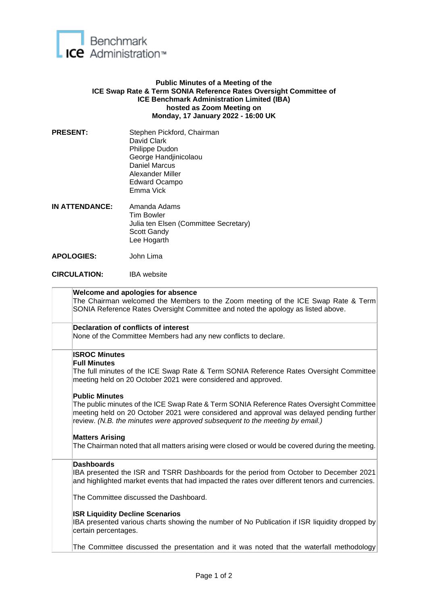

## **Public Minutes of a Meeting of the ICE Swap Rate & Term SONIA Reference Rates Oversight Committee of ICE Benchmark Administration Limited (IBA) hosted as Zoom Meeting on Monday, 17 January 2022 - 16:00 UK**

- PRESENT: Stephen Pickford, Chairman David Clark Philippe Dudon George Handjinicolaou Daniel Marcus Alexander Miller Edward Ocampo Emma Vick
- **IN ATTENDANCE:** Amanda Adams Tim Bowler Julia ten Elsen (Committee Secretary) Scott Gandy Lee Hogarth
- **APOLOGIES:** John Lima
- **CIRCULATION:** IBA website

| Welcome and apologies for absence<br>The Chairman welcomed the Members to the Zoom meeting of the ICE Swap Rate & Term<br>SONIA Reference Rates Oversight Committee and noted the apology as listed above.                                                                                    |
|-----------------------------------------------------------------------------------------------------------------------------------------------------------------------------------------------------------------------------------------------------------------------------------------------|
| <b>Declaration of conflicts of interest</b><br>None of the Committee Members had any new conflicts to declare.                                                                                                                                                                                |
| <b>ISROC Minutes</b><br><b>Full Minutes</b><br>The full minutes of the ICE Swap Rate & Term SONIA Reference Rates Oversight Committee<br>meeting held on 20 October 2021 were considered and approved.                                                                                        |
| <b>Public Minutes</b><br>The public minutes of the ICE Swap Rate & Term SONIA Reference Rates Oversight Committee<br>meeting held on 20 October 2021 were considered and approval was delayed pending further<br>review. (N.B. the minutes were approved subsequent to the meeting by email.) |
| <b>Matters Arising</b><br>The Chairman noted that all matters arising were closed or would be covered during the meeting.                                                                                                                                                                     |
| <b>Dashboards</b><br>IBA presented the ISR and TSRR Dashboards for the period from October to December 2021<br>and highlighted market events that had impacted the rates over different tenors and currencies.                                                                                |
| The Committee discussed the Dashboard.                                                                                                                                                                                                                                                        |
| <b>ISR Liquidity Decline Scenarios</b><br>IBA presented various charts showing the number of No Publication if ISR liquidity dropped by<br>certain percentages.                                                                                                                               |
| The Committee discussed the presentation and it was noted that the waterfall methodology                                                                                                                                                                                                      |
|                                                                                                                                                                                                                                                                                               |